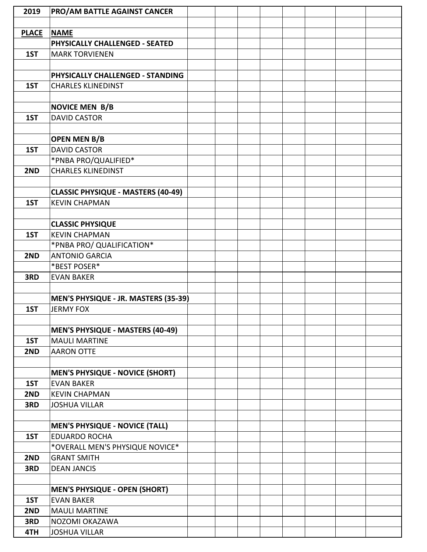| 2019         | <b>PRO/AM BATTLE AGAINST CANCER</b>                       |  |  |  |  |
|--------------|-----------------------------------------------------------|--|--|--|--|
|              |                                                           |  |  |  |  |
| <b>PLACE</b> | <b>NAME</b>                                               |  |  |  |  |
|              | PHYSICALLY CHALLENGED - SEATED                            |  |  |  |  |
| 1ST          | <b>MARK TORVIENEN</b>                                     |  |  |  |  |
|              |                                                           |  |  |  |  |
|              | PHYSICALLY CHALLENGED - STANDING                          |  |  |  |  |
| 1ST          | <b>CHARLES KLINEDINST</b>                                 |  |  |  |  |
|              |                                                           |  |  |  |  |
|              | <b>NOVICE MEN B/B</b>                                     |  |  |  |  |
| 1ST          | <b>DAVID CASTOR</b>                                       |  |  |  |  |
|              |                                                           |  |  |  |  |
|              |                                                           |  |  |  |  |
|              | <b>OPEN MEN B/B</b>                                       |  |  |  |  |
| 1ST          | <b>DAVID CASTOR</b>                                       |  |  |  |  |
|              | *PNBA PRO/QUALIFIED*                                      |  |  |  |  |
| 2ND          | <b>CHARLES KLINEDINST</b>                                 |  |  |  |  |
|              |                                                           |  |  |  |  |
|              | <b>CLASSIC PHYSIQUE - MASTERS (40-49)</b>                 |  |  |  |  |
| 1ST          | <b>KEVIN CHAPMAN</b>                                      |  |  |  |  |
|              |                                                           |  |  |  |  |
|              | <b>CLASSIC PHYSIQUE</b>                                   |  |  |  |  |
| 1ST          | <b>KEVIN CHAPMAN</b>                                      |  |  |  |  |
|              | *PNBA PRO/ QUALIFICATION*                                 |  |  |  |  |
| 2ND          | <b>ANTONIO GARCIA</b>                                     |  |  |  |  |
|              | *BEST POSER*                                              |  |  |  |  |
| 3RD          | <b>EVAN BAKER</b>                                         |  |  |  |  |
|              |                                                           |  |  |  |  |
|              | MEN'S PHYSIQUE - JR. MASTERS (35-39)                      |  |  |  |  |
| 1ST          | <b>JERMY FOX</b>                                          |  |  |  |  |
|              |                                                           |  |  |  |  |
|              | MEN'S PHYSIQUE - MASTERS (40-49)                          |  |  |  |  |
| 1ST          | <b>MAULI MARTINE</b>                                      |  |  |  |  |
| 2ND          | <b>AARON OTTE</b>                                         |  |  |  |  |
|              |                                                           |  |  |  |  |
|              | <b>MEN'S PHYSIQUE - NOVICE (SHORT)</b>                    |  |  |  |  |
| 1ST          | <b>EVAN BAKER</b>                                         |  |  |  |  |
| 2ND          | <b>KEVIN CHAPMAN</b>                                      |  |  |  |  |
| 3RD          | <b>JOSHUA VILLAR</b>                                      |  |  |  |  |
|              |                                                           |  |  |  |  |
|              | <b>MEN'S PHYSIQUE - NOVICE (TALL)</b>                     |  |  |  |  |
| 1ST          | <b>EDUARDO ROCHA</b>                                      |  |  |  |  |
|              | *OVERALL MEN'S PHYSIQUE NOVICE*                           |  |  |  |  |
| 2ND          | <b>GRANT SMITH</b>                                        |  |  |  |  |
| 3RD          | <b>DEAN JANCIS</b>                                        |  |  |  |  |
|              |                                                           |  |  |  |  |
|              |                                                           |  |  |  |  |
| 1ST          | <b>MEN'S PHYSIQUE - OPEN (SHORT)</b><br><b>EVAN BAKER</b> |  |  |  |  |
|              |                                                           |  |  |  |  |
| 2ND          | <b>MAULI MARTINE</b>                                      |  |  |  |  |
| 3RD          | NOZOMI OKAZAWA                                            |  |  |  |  |
| 4TH          | <b>JOSHUA VILLAR</b>                                      |  |  |  |  |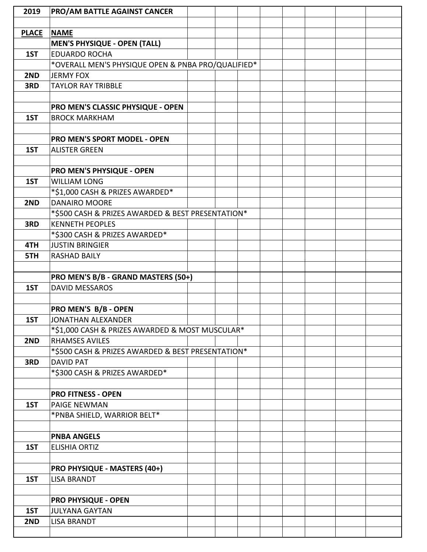| 2019         | PRO/AM BATTLE AGAINST CANCER                       |  |  |  |  |
|--------------|----------------------------------------------------|--|--|--|--|
|              |                                                    |  |  |  |  |
| <b>PLACE</b> | <b>NAME</b>                                        |  |  |  |  |
|              | <b>MEN'S PHYSIQUE - OPEN (TALL)</b>                |  |  |  |  |
| 1ST          | <b>EDUARDO ROCHA</b>                               |  |  |  |  |
|              | *OVERALL MEN'S PHYSIQUE OPEN & PNBA PRO/QUALIFIED* |  |  |  |  |
| 2ND          | <b>JERMY FOX</b>                                   |  |  |  |  |
| 3RD          | <b>TAYLOR RAY TRIBBLE</b>                          |  |  |  |  |
|              |                                                    |  |  |  |  |
|              | PRO MEN'S CLASSIC PHYSIQUE - OPEN                  |  |  |  |  |
| 1ST          | <b>BROCK MARKHAM</b>                               |  |  |  |  |
|              |                                                    |  |  |  |  |
|              | PRO MEN'S SPORT MODEL - OPEN                       |  |  |  |  |
| 1ST          | <b>ALISTER GREEN</b>                               |  |  |  |  |
|              |                                                    |  |  |  |  |
|              | <b>PRO MEN'S PHYSIQUE - OPEN</b>                   |  |  |  |  |
| 1ST          | <b>WILLIAM LONG</b>                                |  |  |  |  |
|              | *\$1,000 CASH & PRIZES AWARDED*                    |  |  |  |  |
| 2ND          | <b>DANAIRO MOORE</b>                               |  |  |  |  |
|              | *\$500 CASH & PRIZES AWARDED & BEST PRESENTATION*  |  |  |  |  |
| 3RD          | <b>KENNETH PEOPLES</b>                             |  |  |  |  |
|              | *\$300 CASH & PRIZES AWARDED*                      |  |  |  |  |
| 4TH          | <b>JUSTIN BRINGIER</b>                             |  |  |  |  |
| 5TH          | <b>RASHAD BAILY</b>                                |  |  |  |  |
|              |                                                    |  |  |  |  |
|              | PRO MEN'S B/B - GRAND MASTERS (50+)                |  |  |  |  |
| 1ST          | <b>DAVID MESSAROS</b>                              |  |  |  |  |
|              |                                                    |  |  |  |  |
|              | PRO MEN'S B/B - OPEN                               |  |  |  |  |
| 1ST          | JONATHAN ALEXANDER                                 |  |  |  |  |
|              | *\$1,000 CASH & PRIZES AWARDED & MOST MUSCULAR*    |  |  |  |  |
| 2ND          | <b>RHAMSES AVILES</b>                              |  |  |  |  |
|              | *\$500 CASH & PRIZES AWARDED & BEST PRESENTATION*  |  |  |  |  |
| 3RD          | <b>DAVID PAT</b>                                   |  |  |  |  |
|              | *\$300 CASH & PRIZES AWARDED*                      |  |  |  |  |
|              |                                                    |  |  |  |  |
|              | <b>PRO FITNESS - OPEN</b>                          |  |  |  |  |
| 1ST          | <b>PAIGE NEWMAN</b>                                |  |  |  |  |
|              | *PNBA SHIELD, WARRIOR BELT*                        |  |  |  |  |
|              |                                                    |  |  |  |  |
|              | <b>PNBA ANGELS</b>                                 |  |  |  |  |
| 1ST          | <b>ELISHIA ORTIZ</b>                               |  |  |  |  |
|              |                                                    |  |  |  |  |
|              | <b>PRO PHYSIQUE - MASTERS (40+)</b>                |  |  |  |  |
| 1ST          | <b>LISA BRANDT</b>                                 |  |  |  |  |
|              |                                                    |  |  |  |  |
|              | <b>PRO PHYSIQUE - OPEN</b>                         |  |  |  |  |
| 1ST          | <b>JULYANA GAYTAN</b>                              |  |  |  |  |
| 2ND          | <b>LISA BRANDT</b>                                 |  |  |  |  |
|              |                                                    |  |  |  |  |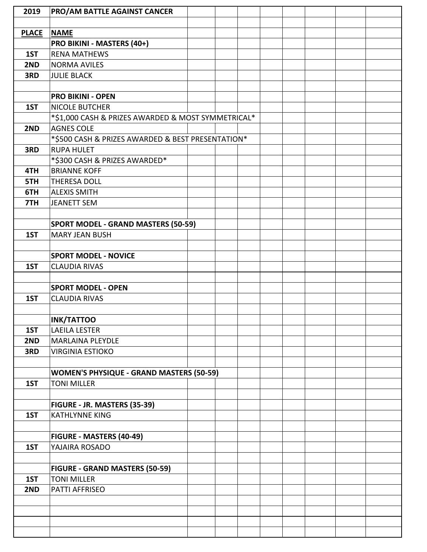| 2019         | PRO/AM BATTLE AGAINST CANCER                       |  |  |  |  |
|--------------|----------------------------------------------------|--|--|--|--|
|              |                                                    |  |  |  |  |
| <b>PLACE</b> | <b>NAME</b>                                        |  |  |  |  |
|              | PRO BIKINI - MASTERS (40+)                         |  |  |  |  |
| 1ST          | <b>RENA MATHEWS</b>                                |  |  |  |  |
| 2ND          | <b>NORMA AVILES</b>                                |  |  |  |  |
| 3RD          | <b>JULIE BLACK</b>                                 |  |  |  |  |
|              |                                                    |  |  |  |  |
|              | <b>PRO BIKINI - OPEN</b>                           |  |  |  |  |
| 1ST          | <b>NICOLE BUTCHER</b>                              |  |  |  |  |
|              | *\$1,000 CASH & PRIZES AWARDED & MOST SYMMETRICAL* |  |  |  |  |
| 2ND          | <b>AGNES COLE</b>                                  |  |  |  |  |
|              | *\$500 CASH & PRIZES AWARDED & BEST PRESENTATION*  |  |  |  |  |
| 3RD          | <b>RUPA HULET</b>                                  |  |  |  |  |
|              | *\$300 CASH & PRIZES AWARDED*                      |  |  |  |  |
| 4TH          | <b>BRIANNE KOFF</b>                                |  |  |  |  |
| 5TH          | <b>THERESA DOLL</b>                                |  |  |  |  |
| 6TH          | <b>ALEXIS SMITH</b>                                |  |  |  |  |
| 7TH          | <b>JEANETT SEM</b>                                 |  |  |  |  |
|              |                                                    |  |  |  |  |
|              | <b>SPORT MODEL - GRAND MASTERS (50-59)</b>         |  |  |  |  |
| 1ST          | <b>MARY JEAN BUSH</b>                              |  |  |  |  |
|              |                                                    |  |  |  |  |
|              | <b>SPORT MODEL - NOVICE</b>                        |  |  |  |  |
| 1ST          | <b>CLAUDIA RIVAS</b>                               |  |  |  |  |
|              |                                                    |  |  |  |  |
|              | <b>SPORT MODEL - OPEN</b>                          |  |  |  |  |
| 1ST          | <b>CLAUDIA RIVAS</b>                               |  |  |  |  |
|              |                                                    |  |  |  |  |
|              | <b>INK/TATTOO</b>                                  |  |  |  |  |
| 1ST          | <b>LAEILA LESTER</b>                               |  |  |  |  |
| 2ND          | <b>MARLAINA PLEYDLE</b>                            |  |  |  |  |
| 3RD          | <b>VIRGINIA ESTIOKO</b>                            |  |  |  |  |
|              |                                                    |  |  |  |  |
|              | <b>WOMEN'S PHYSIQUE - GRAND MASTERS (50-59)</b>    |  |  |  |  |
| 1ST          | <b>TONI MILLER</b>                                 |  |  |  |  |
|              |                                                    |  |  |  |  |
|              | FIGURE - JR. MASTERS (35-39)                       |  |  |  |  |
| 1ST          | <b>KATHLYNNE KING</b>                              |  |  |  |  |
|              |                                                    |  |  |  |  |
|              | FIGURE - MASTERS (40-49)                           |  |  |  |  |
| 1ST          | YAJAIRA ROSADO                                     |  |  |  |  |
|              |                                                    |  |  |  |  |
|              | <b>FIGURE - GRAND MASTERS (50-59)</b>              |  |  |  |  |
| 1ST          | <b>TONI MILLER</b>                                 |  |  |  |  |
| 2ND          | PATTI AFFRISEO                                     |  |  |  |  |
|              |                                                    |  |  |  |  |
|              |                                                    |  |  |  |  |
|              |                                                    |  |  |  |  |
|              |                                                    |  |  |  |  |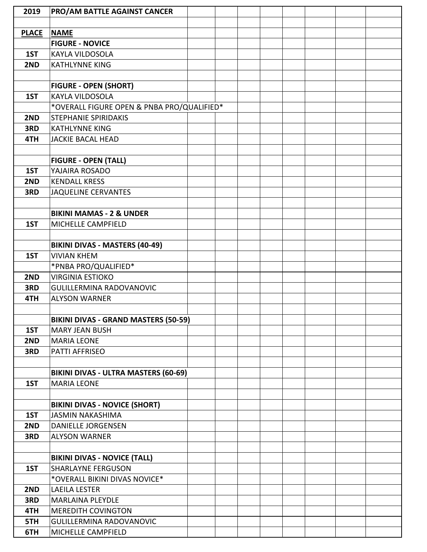| 2019         | PRO/AM BATTLE AGAINST CANCER               |  |  |  |  |
|--------------|--------------------------------------------|--|--|--|--|
|              |                                            |  |  |  |  |
| <b>PLACE</b> | <b>NAME</b>                                |  |  |  |  |
|              | <b>FIGURE - NOVICE</b>                     |  |  |  |  |
| 1ST          | <b>KAYLA VILDOSOLA</b>                     |  |  |  |  |
| 2ND          | <b>KATHLYNNE KING</b>                      |  |  |  |  |
|              |                                            |  |  |  |  |
|              | <b>FIGURE - OPEN (SHORT)</b>               |  |  |  |  |
| 1ST          | <b>KAYLA VILDOSOLA</b>                     |  |  |  |  |
|              | *OVERALL FIGURE OPEN & PNBA PRO/QUALIFIED* |  |  |  |  |
| 2ND          | <b>STEPHANIE SPIRIDAKIS</b>                |  |  |  |  |
| 3RD          | <b>KATHLYNNE KING</b>                      |  |  |  |  |
| 4TH          | <b>JACKIE BACAL HEAD</b>                   |  |  |  |  |
|              |                                            |  |  |  |  |
|              | <b>FIGURE - OPEN (TALL)</b>                |  |  |  |  |
| 1ST          | YAJAIRA ROSADO                             |  |  |  |  |
| 2ND          | <b>KENDALL KRESS</b>                       |  |  |  |  |
| 3RD          | <b>JAQUELINE CERVANTES</b>                 |  |  |  |  |
|              |                                            |  |  |  |  |
|              | <b>BIKINI MAMAS - 2 &amp; UNDER</b>        |  |  |  |  |
| 1ST          | MICHELLE CAMPFIELD                         |  |  |  |  |
|              |                                            |  |  |  |  |
|              | <b>BIKINI DIVAS - MASTERS (40-49)</b>      |  |  |  |  |
| 1ST          | <b>VIVIAN KHEM</b>                         |  |  |  |  |
|              | *PNBA PRO/QUALIFIED*                       |  |  |  |  |
| 2ND          | <b>VIRGINIA ESTIOKO</b>                    |  |  |  |  |
| 3RD          | <b>GULILLERMINA RADOVANOVIC</b>            |  |  |  |  |
| 4TH          | <b>ALYSON WARNER</b>                       |  |  |  |  |
|              |                                            |  |  |  |  |
|              | BIKINI DIVAS - GRAND MASTERS (50-59)       |  |  |  |  |
| 1ST          | <b>MARY JEAN BUSH</b>                      |  |  |  |  |
| 2ND          | <b>MARIA LEONE</b>                         |  |  |  |  |
| 3RD          | PATTI AFFRISEO                             |  |  |  |  |
|              |                                            |  |  |  |  |
|              | BIKINI DIVAS - ULTRA MASTERS (60-69)       |  |  |  |  |
| 1ST          | <b>MARIA LEONE</b>                         |  |  |  |  |
|              |                                            |  |  |  |  |
|              | <b>BIKINI DIVAS - NOVICE (SHORT)</b>       |  |  |  |  |
| 1ST          | <b>JASMIN NAKASHIMA</b>                    |  |  |  |  |
| 2ND          | <b>DANIELLE JORGENSEN</b>                  |  |  |  |  |
| 3RD          | <b>ALYSON WARNER</b>                       |  |  |  |  |
|              |                                            |  |  |  |  |
|              | <b>BIKINI DIVAS - NOVICE (TALL)</b>        |  |  |  |  |
| 1ST          | <b>SHARLAYNE FERGUSON</b>                  |  |  |  |  |
|              | *OVERALL BIKINI DIVAS NOVICE*              |  |  |  |  |
| 2ND          | <b>LAEILA LESTER</b>                       |  |  |  |  |
| 3RD          | <b>MARLAINA PLEYDLE</b>                    |  |  |  |  |
| 4TH          | <b>MEREDITH COVINGTON</b>                  |  |  |  |  |
| 5TH          | <b>GULILLERMINA RADOVANOVIC</b>            |  |  |  |  |
| 6TH          | MICHELLE CAMPFIELD                         |  |  |  |  |